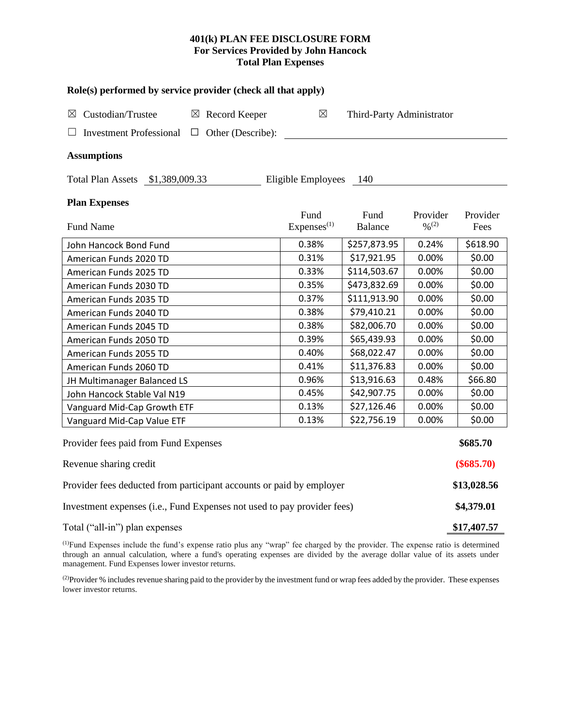# **401(k) PLAN FEE DISCLOSURE FORM For Services Provided by John Hancock Total Plan Expenses**

| Role(s) performed by service provider (check all that apply)            |                          |                                 |                           |                                          |                  |  |  |  |  |
|-------------------------------------------------------------------------|--------------------------|---------------------------------|---------------------------|------------------------------------------|------------------|--|--|--|--|
| Custodian/Trustee<br>$\boxtimes$ Record Keeper<br>⊠                     |                          | ⊠                               | Third-Party Administrator |                                          |                  |  |  |  |  |
| <b>Investment Professional</b>                                          | $\Box$ Other (Describe): |                                 |                           |                                          |                  |  |  |  |  |
| <b>Assumptions</b>                                                      |                          |                                 |                           |                                          |                  |  |  |  |  |
| Total Plan Assets \$1,389,009.33                                        |                          | Eligible Employees              | 140                       |                                          |                  |  |  |  |  |
| <b>Plan Expenses</b>                                                    |                          |                                 |                           |                                          |                  |  |  |  |  |
| <b>Fund Name</b>                                                        |                          | Fund<br>Expenses <sup>(1)</sup> | Fund<br><b>Balance</b>    | Provider<br>$\frac{0}{2}$ <sup>(2)</sup> | Provider<br>Fees |  |  |  |  |
|                                                                         |                          |                                 |                           |                                          |                  |  |  |  |  |
| John Hancock Bond Fund                                                  |                          | 0.38%                           | \$257,873.95              | 0.24%                                    | \$618.90         |  |  |  |  |
| American Funds 2020 TD                                                  |                          | 0.31%                           | \$17,921.95               | 0.00%                                    | \$0.00           |  |  |  |  |
| American Funds 2025 TD                                                  |                          | 0.33%                           | \$114,503.67              | 0.00%                                    | \$0.00           |  |  |  |  |
| American Funds 2030 TD                                                  |                          | 0.35%                           | \$473,832.69              | 0.00%                                    | \$0.00           |  |  |  |  |
| American Funds 2035 TD                                                  |                          | 0.37%                           | \$111,913.90              | 0.00%                                    | \$0.00           |  |  |  |  |
| American Funds 2040 TD                                                  |                          | 0.38%                           | \$79,410.21               | 0.00%                                    | \$0.00           |  |  |  |  |
| American Funds 2045 TD                                                  |                          | 0.38%                           | \$82,006.70               | 0.00%                                    | \$0.00           |  |  |  |  |
| American Funds 2050 TD                                                  |                          | 0.39%                           | \$65,439.93               | 0.00%                                    | \$0.00           |  |  |  |  |
| American Funds 2055 TD                                                  |                          | 0.40%                           | \$68,022.47               | 0.00%                                    | \$0.00           |  |  |  |  |
| American Funds 2060 TD                                                  |                          | 0.41%                           | \$11,376.83               | 0.00%                                    | \$0.00           |  |  |  |  |
| JH Multimanager Balanced LS                                             |                          | 0.96%                           | \$13,916.63               | 0.48%                                    | \$66.80          |  |  |  |  |
| John Hancock Stable Val N19                                             |                          | 0.45%                           | \$42,907.75               | 0.00%                                    | \$0.00           |  |  |  |  |
| Vanguard Mid-Cap Growth ETF                                             |                          | 0.13%                           | \$27,126.46               | 0.00%                                    | \$0.00           |  |  |  |  |
| Vanguard Mid-Cap Value ETF                                              |                          | 0.13%                           | \$22,756.19               | 0.00%                                    | \$0.00           |  |  |  |  |
| Provider fees paid from Fund Expenses                                   |                          |                                 |                           |                                          | \$685.70         |  |  |  |  |
| Revenue sharing credit                                                  |                          |                                 |                           |                                          |                  |  |  |  |  |
| Provider fees deducted from participant accounts or paid by employer    |                          |                                 |                           |                                          |                  |  |  |  |  |
| Investment expenses (i.e., Fund Expenses not used to pay provider fees) |                          |                                 |                           |                                          |                  |  |  |  |  |
| Total ("all-in") plan expenses                                          |                          |                                 |                           |                                          |                  |  |  |  |  |

(1)Fund Expenses include the fund's expense ratio plus any "wrap" fee charged by the provider. The expense ratio is determined through an annual calculation, where a fund's operating expenses are divided by the average dollar value of its assets under management. Fund Expenses lower investor returns.

<sup>(2)</sup>Provider % includes revenue sharing paid to the provider by the investment fund or wrap fees added by the provider. These expenses lower investor returns.